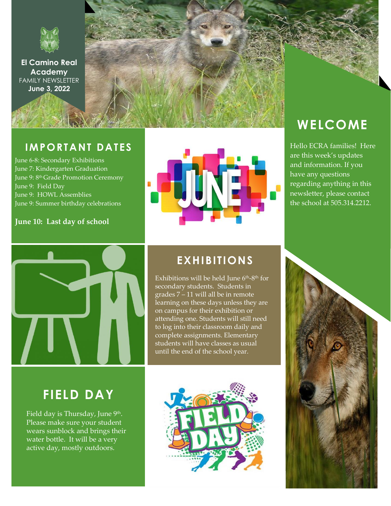

**El Camino Real Academy** FAMILY NEWSLETTER **June 3, 2022**

## **IMPORTANT DATES**

June 6-8: Secondary Exhibitions June 7: Kindergarten Graduation June 9: 8<sup>th</sup> Grade Promotion Ceremony June 9: Field Day June 9: HOWL Assemblies June 9: Summer birthday celebrations

#### **June 10: Last day of school**



# **WELCOME**

Hello ECRA families! Here are this week's updates and information. If you have any questions regarding anything in this newsletter, please contact the school at 505.314.2212.



## **EXHIBITIONS**

Exhibitions will be held June 6<sup>th</sup>-8<sup>th</sup> for secondary students. Students in grades 7 – 11 will all be in remote learning on these days unless they are on campus for their exhibition or attending one. Students will still need to log into their classroom daily and complete assignments. Elementary students will have classes as usual until the end of the school year.

## **FIELD DAY**

Field day is Thursday, June <sup>9th</sup>. Please make sure your student wears sunblock and brings their water bottle. It will be a very active day, mostly outdoors.